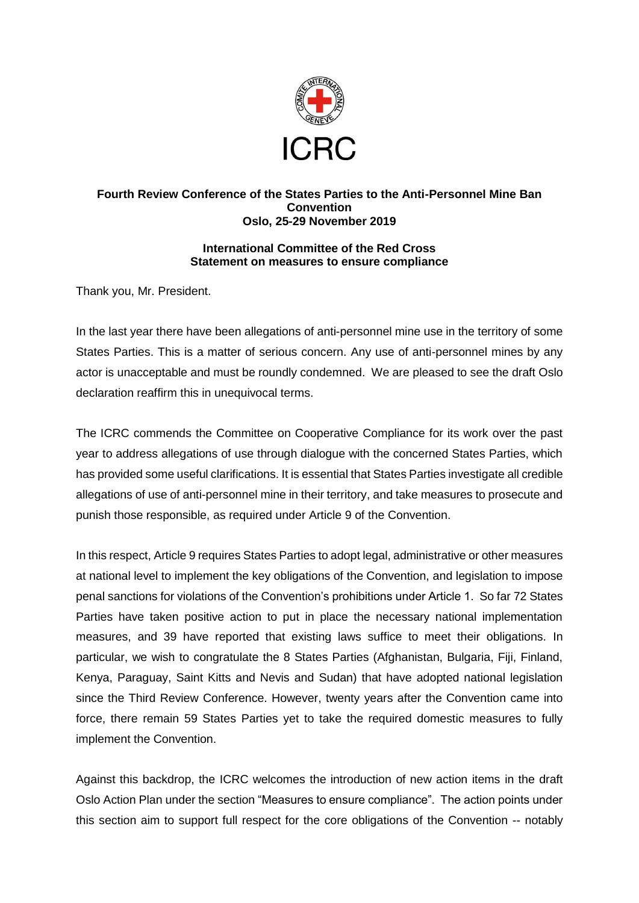

## **Fourth Review Conference of the States Parties to the Anti-Personnel Mine Ban Convention Oslo, 25-29 November 2019**

## **International Committee of the Red Cross Statement on measures to ensure compliance**

Thank you, Mr. President.

In the last year there have been allegations of anti-personnel mine use in the territory of some States Parties. This is a matter of serious concern. Any use of anti-personnel mines by any actor is unacceptable and must be roundly condemned. We are pleased to see the draft Oslo declaration reaffirm this in unequivocal terms.

The ICRC commends the Committee on Cooperative Compliance for its work over the past year to address allegations of use through dialogue with the concerned States Parties, which has provided some useful clarifications. It is essential that States Parties investigate all credible allegations of use of anti-personnel mine in their territory, and take measures to prosecute and punish those responsible, as required under Article 9 of the Convention.

In this respect, Article 9 requires States Parties to adopt legal, administrative or other measures at national level to implement the key obligations of the Convention, and legislation to impose penal sanctions for violations of the Convention's prohibitions under Article 1. So far 72 States Parties have taken positive action to put in place the necessary national implementation measures, and 39 have reported that existing laws suffice to meet their obligations. In particular, we wish to congratulate the 8 States Parties (Afghanistan, Bulgaria, Fiji, Finland, Kenya, Paraguay, Saint Kitts and Nevis and Sudan) that have adopted national legislation since the Third Review Conference. However, twenty years after the Convention came into force, there remain 59 States Parties yet to take the required domestic measures to fully implement the Convention.

Against this backdrop, the ICRC welcomes the introduction of new action items in the draft Oslo Action Plan under the section "Measures to ensure compliance". The action points under this section aim to support full respect for the core obligations of the Convention -- notably